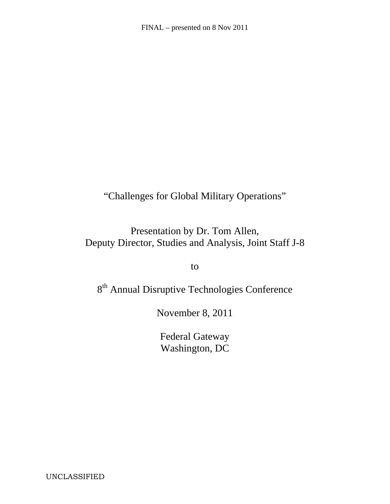"Challenges for Global Military Operations"

Presentation by Dr. Tom Allen, Deputy Director, Studies and Analysis, Joint Staff J-8

to

8<sup>th</sup> Annual Disruptive Technologies Conference

November 8, 2011

Federal Gateway Washington, DC

UNCLASSIFIED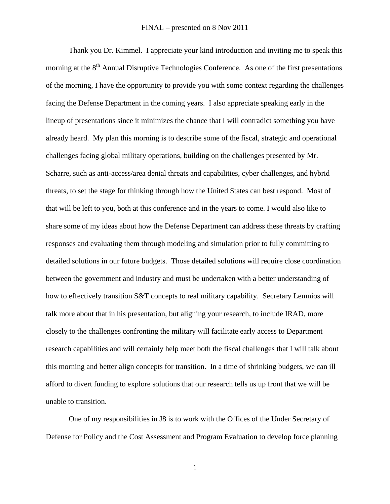Thank you Dr. Kimmel. I appreciate your kind introduction and inviting me to speak this morning at the  $8<sup>th</sup>$  Annual Disruptive Technologies Conference. As one of the first presentations of the morning, I have the opportunity to provide you with some context regarding the challenges facing the Defense Department in the coming years. I also appreciate speaking early in the lineup of presentations since it minimizes the chance that I will contradict something you have already heard. My plan this morning is to describe some of the fiscal, strategic and operational challenges facing global military operations, building on the challenges presented by Mr. Scharre, such as anti-access/area denial threats and capabilities, cyber challenges, and hybrid threats, to set the stage for thinking through how the United States can best respond. Most of that will be left to you, both at this conference and in the years to come. I would also like to share some of my ideas about how the Defense Department can address these threats by crafting responses and evaluating them through modeling and simulation prior to fully committing to detailed solutions in our future budgets. Those detailed solutions will require close coordination between the government and industry and must be undertaken with a better understanding of how to effectively transition S&T concepts to real military capability. Secretary Lemnios will talk more about that in his presentation, but aligning your research, to include IRAD, more closely to the challenges confronting the military will facilitate early access to Department research capabilities and will certainly help meet both the fiscal challenges that I will talk about this morning and better align concepts for transition. In a time of shrinking budgets, we can ill afford to divert funding to explore solutions that our research tells us up front that we will be unable to transition.

One of my responsibilities in J8 is to work with the Offices of the Under Secretary of Defense for Policy and the Cost Assessment and Program Evaluation to develop force planning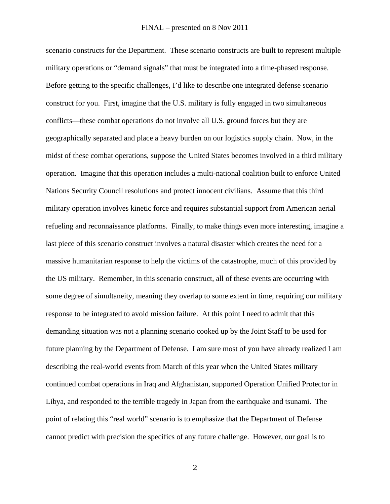scenario constructs for the Department. These scenario constructs are built to represent multiple military operations or "demand signals" that must be integrated into a time-phased response. Before getting to the specific challenges, I'd like to describe one integrated defense scenario construct for you. First, imagine that the U.S. military is fully engaged in two simultaneous conflicts—these combat operations do not involve all U.S. ground forces but they are geographically separated and place a heavy burden on our logistics supply chain. Now, in the midst of these combat operations, suppose the United States becomes involved in a third military operation. Imagine that this operation includes a multi-national coalition built to enforce United Nations Security Council resolutions and protect innocent civilians. Assume that this third military operation involves kinetic force and requires substantial support from American aerial refueling and reconnaissance platforms. Finally, to make things even more interesting, imagine a last piece of this scenario construct involves a natural disaster which creates the need for a massive humanitarian response to help the victims of the catastrophe, much of this provided by the US military. Remember, in this scenario construct, all of these events are occurring with some degree of simultaneity, meaning they overlap to some extent in time, requiring our military response to be integrated to avoid mission failure. At this point I need to admit that this demanding situation was not a planning scenario cooked up by the Joint Staff to be used for future planning by the Department of Defense. I am sure most of you have already realized I am describing the real-world events from March of this year when the United States military continued combat operations in Iraq and Afghanistan, supported Operation Unified Protector in Libya, and responded to the terrible tragedy in Japan from the earthquake and tsunami. The point of relating this "real world" scenario is to emphasize that the Department of Defense cannot predict with precision the specifics of any future challenge. However, our goal is to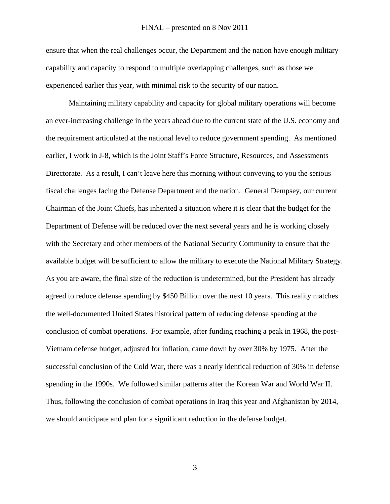ensure that when the real challenges occur, the Department and the nation have enough military capability and capacity to respond to multiple overlapping challenges, such as those we experienced earlier this year, with minimal risk to the security of our nation.

Maintaining military capability and capacity for global military operations will become an ever-increasing challenge in the years ahead due to the current state of the U.S. economy and the requirement articulated at the national level to reduce government spending. As mentioned earlier, I work in J-8, which is the Joint Staff's Force Structure, Resources, and Assessments Directorate. As a result, I can't leave here this morning without conveying to you the serious fiscal challenges facing the Defense Department and the nation. General Dempsey, our current Chairman of the Joint Chiefs, has inherited a situation where it is clear that the budget for the Department of Defense will be reduced over the next several years and he is working closely with the Secretary and other members of the National Security Community to ensure that the available budget will be sufficient to allow the military to execute the National Military Strategy. As you are aware, the final size of the reduction is undetermined, but the President has already agreed to reduce defense spending by \$450 Billion over the next 10 years. This reality matches the well-documented United States historical pattern of reducing defense spending at the conclusion of combat operations. For example, after funding reaching a peak in 1968, the post-Vietnam defense budget, adjusted for inflation, came down by over 30% by 1975. After the successful conclusion of the Cold War, there was a nearly identical reduction of 30% in defense spending in the 1990s. We followed similar patterns after the Korean War and World War II. Thus, following the conclusion of combat operations in Iraq this year and Afghanistan by 2014, we should anticipate and plan for a significant reduction in the defense budget.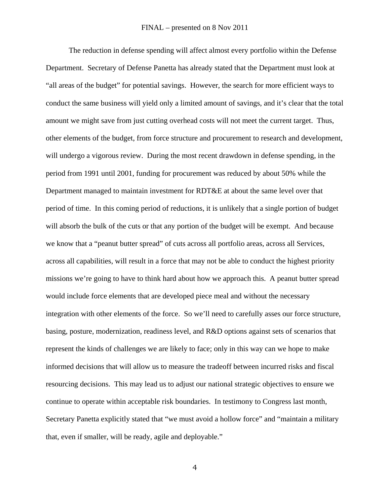The reduction in defense spending will affect almost every portfolio within the Defense Department. Secretary of Defense Panetta has already stated that the Department must look at "all areas of the budget" for potential savings. However, the search for more efficient ways to conduct the same business will yield only a limited amount of savings, and it's clear that the total amount we might save from just cutting overhead costs will not meet the current target. Thus, other elements of the budget, from force structure and procurement to research and development, will undergo a vigorous review. During the most recent drawdown in defense spending, in the period from 1991 until 2001, funding for procurement was reduced by about 50% while the Department managed to maintain investment for RDT&E at about the same level over that period of time. In this coming period of reductions, it is unlikely that a single portion of budget will absorb the bulk of the cuts or that any portion of the budget will be exempt. And because we know that a "peanut butter spread" of cuts across all portfolio areas, across all Services, across all capabilities, will result in a force that may not be able to conduct the highest priority missions we're going to have to think hard about how we approach this. A peanut butter spread would include force elements that are developed piece meal and without the necessary integration with other elements of the force. So we'll need to carefully asses our force structure, basing, posture, modernization, readiness level, and R&D options against sets of scenarios that represent the kinds of challenges we are likely to face; only in this way can we hope to make informed decisions that will allow us to measure the tradeoff between incurred risks and fiscal resourcing decisions. This may lead us to adjust our national strategic objectives to ensure we continue to operate within acceptable risk boundaries. In testimony to Congress last month, Secretary Panetta explicitly stated that "we must avoid a hollow force" and "maintain a military that, even if smaller, will be ready, agile and deployable."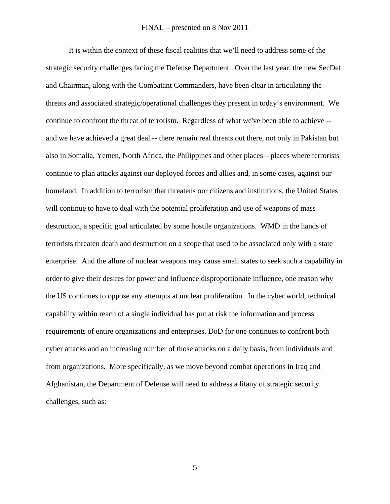It is within the context of these fiscal realities that we'll need to address some of the strategic security challenges facing the Defense Department. Over the last year, the new SecDef and Chairman, along with the Combatant Commanders, have been clear in articulating the threats and associated strategic/operational challenges they present in today's environment. We continue to confront the threat of terrorism. Regardless of what we've been able to achieve - and we have achieved a great deal -- there remain real threats out there, not only in Pakistan but also in Somalia, Yemen, North Africa, the Philippines and other places – places where terrorists continue to plan attacks against our deployed forces and allies and, in some cases, against our homeland. In addition to terrorism that threatens our citizens and institutions, the United States will continue to have to deal with the potential proliferation and use of weapons of mass destruction, a specific goal articulated by some hostile organizations. WMD in the hands of terrorists threaten death and destruction on a scope that used to be associated only with a state enterprise. And the allure of nuclear weapons may cause small states to seek such a capability in order to give their desires for power and influence disproportionate influence, one reason why the US continues to oppose any attempts at nuclear proliferation. In the cyber world, technical capability within reach of a single individual has put at risk the information and process requirements of entire organizations and enterprises. DoD for one continues to confront both cyber attacks and an increasing number of those attacks on a daily basis, from individuals and from organizations. More specifically, as we move beyond combat operations in Iraq and Afghanistan, the Department of Defense will need to address a litany of strategic security challenges, such as: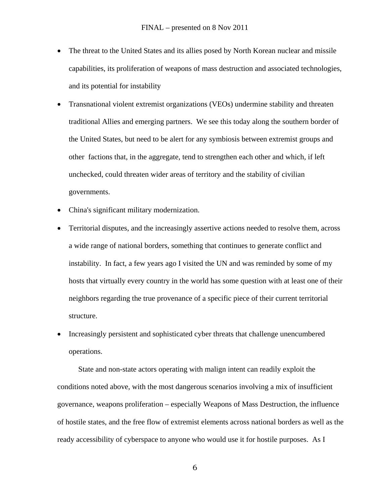- The threat to the United States and its allies posed by North Korean nuclear and missile capabilities, its proliferation of weapons of mass destruction and associated technologies, and its potential for instability
- Transnational violent extremist organizations (VEOs) undermine stability and threaten traditional Allies and emerging partners. We see this today along the southern border of the United States, but need to be alert for any symbiosis between extremist groups and other factions that, in the aggregate, tend to strengthen each other and which, if left unchecked, could threaten wider areas of territory and the stability of civilian governments.
- China's significant military modernization.
- Territorial disputes, and the increasingly assertive actions needed to resolve them, across a wide range of national borders, something that continues to generate conflict and instability. In fact, a few years ago I visited the UN and was reminded by some of my hosts that virtually every country in the world has some question with at least one of their neighbors regarding the true provenance of a specific piece of their current territorial structure.
- Increasingly persistent and sophisticated cyber threats that challenge unencumbered operations.

 State and non-state actors operating with malign intent can readily exploit the conditions noted above, with the most dangerous scenarios involving a mix of insufficient governance, weapons proliferation – especially Weapons of Mass Destruction, the influence of hostile states, and the free flow of extremist elements across national borders as well as the ready accessibility of cyberspace to anyone who would use it for hostile purposes. As I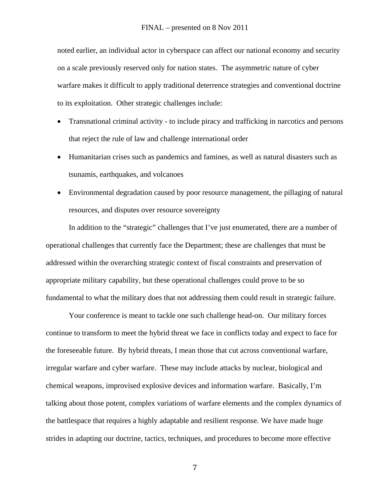noted earlier, an individual actor in cyberspace can affect our national economy and security on a scale previously reserved only for nation states. The asymmetric nature of cyber warfare makes it difficult to apply traditional deterrence strategies and conventional doctrine to its exploitation. Other strategic challenges include:

- Transnational criminal activity to include piracy and trafficking in narcotics and persons that reject the rule of law and challenge international order
- Humanitarian crises such as pandemics and famines, as well as natural disasters such as tsunamis, earthquakes, and volcanoes
- Environmental degradation caused by poor resource management, the pillaging of natural resources, and disputes over resource sovereignty

In addition to the "strategic" challenges that I've just enumerated, there are a number of operational challenges that currently face the Department; these are challenges that must be addressed within the overarching strategic context of fiscal constraints and preservation of appropriate military capability, but these operational challenges could prove to be so fundamental to what the military does that not addressing them could result in strategic failure.

Your conference is meant to tackle one such challenge head-on. Our military forces continue to transform to meet the hybrid threat we face in conflicts today and expect to face for the foreseeable future. By hybrid threats, I mean those that cut across conventional warfare, irregular warfare and cyber warfare. These may include attacks by nuclear, biological and chemical weapons, improvised explosive devices and information warfare. Basically, I'm talking about those potent, complex variations of warfare elements and the complex dynamics of the battlespace that requires a highly adaptable and resilient response. We have made huge strides in adapting our doctrine, tactics, techniques, and procedures to become more effective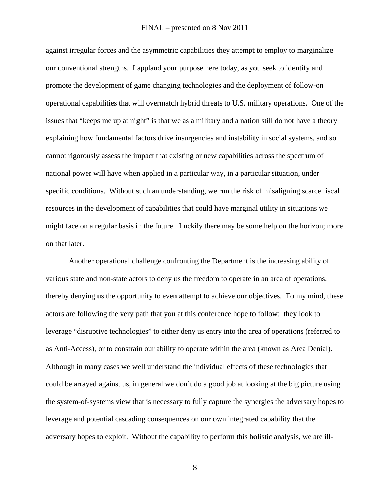against irregular forces and the asymmetric capabilities they attempt to employ to marginalize our conventional strengths. I applaud your purpose here today, as you seek to identify and promote the development of game changing technologies and the deployment of follow-on operational capabilities that will overmatch hybrid threats to U.S. military operations. One of the issues that "keeps me up at night" is that we as a military and a nation still do not have a theory explaining how fundamental factors drive insurgencies and instability in social systems, and so cannot rigorously assess the impact that existing or new capabilities across the spectrum of national power will have when applied in a particular way, in a particular situation, under specific conditions. Without such an understanding, we run the risk of misaligning scarce fiscal resources in the development of capabilities that could have marginal utility in situations we might face on a regular basis in the future. Luckily there may be some help on the horizon; more on that later.

Another operational challenge confronting the Department is the increasing ability of various state and non-state actors to deny us the freedom to operate in an area of operations, thereby denying us the opportunity to even attempt to achieve our objectives. To my mind, these actors are following the very path that you at this conference hope to follow: they look to leverage "disruptive technologies" to either deny us entry into the area of operations (referred to as Anti-Access), or to constrain our ability to operate within the area (known as Area Denial). Although in many cases we well understand the individual effects of these technologies that could be arrayed against us, in general we don't do a good job at looking at the big picture using the system-of-systems view that is necessary to fully capture the synergies the adversary hopes to leverage and potential cascading consequences on our own integrated capability that the adversary hopes to exploit. Without the capability to perform this holistic analysis, we are ill-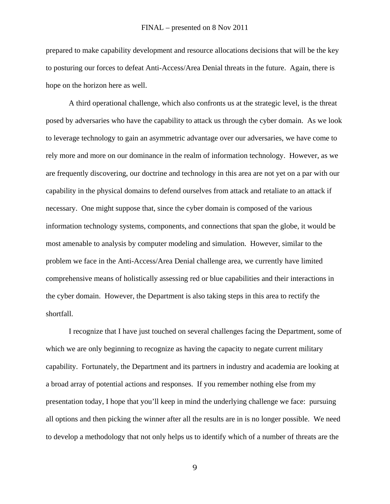prepared to make capability development and resource allocations decisions that will be the key to posturing our forces to defeat Anti-Access/Area Denial threats in the future. Again, there is hope on the horizon here as well.

A third operational challenge, which also confronts us at the strategic level, is the threat posed by adversaries who have the capability to attack us through the cyber domain. As we look to leverage technology to gain an asymmetric advantage over our adversaries, we have come to rely more and more on our dominance in the realm of information technology. However, as we are frequently discovering, our doctrine and technology in this area are not yet on a par with our capability in the physical domains to defend ourselves from attack and retaliate to an attack if necessary. One might suppose that, since the cyber domain is composed of the various information technology systems, components, and connections that span the globe, it would be most amenable to analysis by computer modeling and simulation. However, similar to the problem we face in the Anti-Access/Area Denial challenge area, we currently have limited comprehensive means of holistically assessing red or blue capabilities and their interactions in the cyber domain. However, the Department is also taking steps in this area to rectify the shortfall.

I recognize that I have just touched on several challenges facing the Department, some of which we are only beginning to recognize as having the capacity to negate current military capability. Fortunately, the Department and its partners in industry and academia are looking at a broad array of potential actions and responses. If you remember nothing else from my presentation today, I hope that you'll keep in mind the underlying challenge we face: pursuing all options and then picking the winner after all the results are in is no longer possible. We need to develop a methodology that not only helps us to identify which of a number of threats are the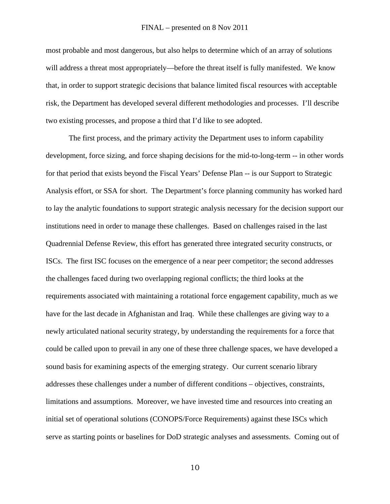## FINAL – presented on 8 Nov 2011

most probable and most dangerous, but also helps to determine which of an array of solutions will address a threat most appropriately—before the threat itself is fully manifested. We know that, in order to support strategic decisions that balance limited fiscal resources with acceptable risk, the Department has developed several different methodologies and processes. I'll describe two existing processes, and propose a third that I'd like to see adopted.

The first process, and the primary activity the Department uses to inform capability development, force sizing, and force shaping decisions for the mid-to-long-term -- in other words for that period that exists beyond the Fiscal Years' Defense Plan -- is our Support to Strategic Analysis effort, or SSA for short. The Department's force planning community has worked hard to lay the analytic foundations to support strategic analysis necessary for the decision support our institutions need in order to manage these challenges. Based on challenges raised in the last Quadrennial Defense Review, this effort has generated three integrated security constructs, or ISCs. The first ISC focuses on the emergence of a near peer competitor; the second addresses the challenges faced during two overlapping regional conflicts; the third looks at the requirements associated with maintaining a rotational force engagement capability, much as we have for the last decade in Afghanistan and Iraq. While these challenges are giving way to a newly articulated national security strategy, by understanding the requirements for a force that could be called upon to prevail in any one of these three challenge spaces, we have developed a sound basis for examining aspects of the emerging strategy. Our current scenario library addresses these challenges under a number of different conditions – objectives, constraints, limitations and assumptions. Moreover, we have invested time and resources into creating an initial set of operational solutions (CONOPS/Force Requirements) against these ISCs which serve as starting points or baselines for DoD strategic analyses and assessments. Coming out of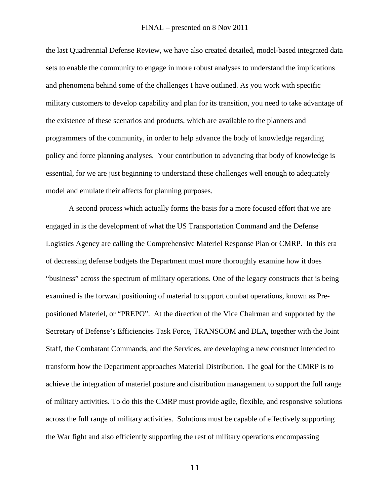the last Quadrennial Defense Review, we have also created detailed, model-based integrated data sets to enable the community to engage in more robust analyses to understand the implications and phenomena behind some of the challenges I have outlined. As you work with specific military customers to develop capability and plan for its transition, you need to take advantage of the existence of these scenarios and products, which are available to the planners and programmers of the community, in order to help advance the body of knowledge regarding policy and force planning analyses. Your contribution to advancing that body of knowledge is essential, for we are just beginning to understand these challenges well enough to adequately model and emulate their affects for planning purposes.

A second process which actually forms the basis for a more focused effort that we are engaged in is the development of what the US Transportation Command and the Defense Logistics Agency are calling the Comprehensive Materiel Response Plan or CMRP. In this era of decreasing defense budgets the Department must more thoroughly examine how it does "business" across the spectrum of military operations. One of the legacy constructs that is being examined is the forward positioning of material to support combat operations, known as Prepositioned Materiel, or "PREPO". At the direction of the Vice Chairman and supported by the Secretary of Defense's Efficiencies Task Force, TRANSCOM and DLA, together with the Joint Staff, the Combatant Commands, and the Services, are developing a new construct intended to transform how the Department approaches Material Distribution. The goal for the CMRP is to achieve the integration of materiel posture and distribution management to support the full range of military activities. To do this the CMRP must provide agile, flexible, and responsive solutions across the full range of military activities. Solutions must be capable of effectively supporting the War fight and also efficiently supporting the rest of military operations encompassing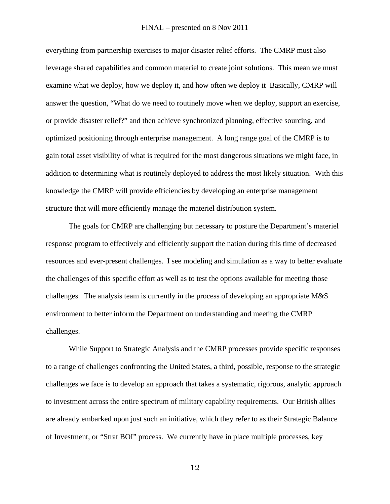## FINAL – presented on 8 Nov 2011

everything from partnership exercises to major disaster relief efforts. The CMRP must also leverage shared capabilities and common materiel to create joint solutions. This mean we must examine what we deploy, how we deploy it, and how often we deploy it Basically, CMRP will answer the question, "What do we need to routinely move when we deploy, support an exercise, or provide disaster relief?" and then achieve synchronized planning, effective sourcing, and optimized positioning through enterprise management. A long range goal of the CMRP is to gain total asset visibility of what is required for the most dangerous situations we might face, in addition to determining what is routinely deployed to address the most likely situation. With this knowledge the CMRP will provide efficiencies by developing an enterprise management structure that will more efficiently manage the materiel distribution system.

The goals for CMRP are challenging but necessary to posture the Department's materiel response program to effectively and efficiently support the nation during this time of decreased resources and ever-present challenges. I see modeling and simulation as a way to better evaluate the challenges of this specific effort as well as to test the options available for meeting those challenges. The analysis team is currently in the process of developing an appropriate M&S environment to better inform the Department on understanding and meeting the CMRP challenges.

While Support to Strategic Analysis and the CMRP processes provide specific responses to a range of challenges confronting the United States, a third, possible, response to the strategic challenges we face is to develop an approach that takes a systematic, rigorous, analytic approach to investment across the entire spectrum of military capability requirements. Our British allies are already embarked upon just such an initiative, which they refer to as their Strategic Balance of Investment, or "Strat BOI" process. We currently have in place multiple processes, key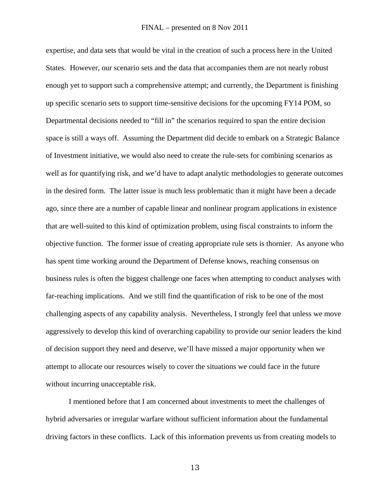expertise, and data sets that would be vital in the creation of such a process here in the United States. However, our scenario sets and the data that accompanies them are not nearly robust enough yet to support such a comprehensive attempt; and currently, the Department is finishing up specific scenario sets to support time-sensitive decisions for the upcoming FY14 POM, so Departmental decisions needed to "fill in" the scenarios required to span the entire decision space is still a ways off. Assuming the Department did decide to embark on a Strategic Balance of Investment initiative, we would also need to create the rule-sets for combining scenarios as well as for quantifying risk, and we'd have to adapt analytic methodologies to generate outcomes in the desired form. The latter issue is much less problematic than it might have been a decade ago, since there are a number of capable linear and nonlinear program applications in existence that are well-suited to this kind of optimization problem, using fiscal constraints to inform the objective function. The former issue of creating appropriate rule sets is thornier. As anyone who has spent time working around the Department of Defense knows, reaching consensus on business rules is often the biggest challenge one faces when attempting to conduct analyses with far-reaching implications. And we still find the quantification of risk to be one of the most challenging aspects of any capability analysis. Nevertheless, I strongly feel that unless we move aggressively to develop this kind of overarching capability to provide our senior leaders the kind of decision support they need and deserve, we'll have missed a major opportunity when we attempt to allocate our resources wisely to cover the situations we could face in the future without incurring unacceptable risk.

I mentioned before that I am concerned about investments to meet the challenges of hybrid adversaries or irregular warfare without sufficient information about the fundamental driving factors in these conflicts. Lack of this information prevents us from creating models to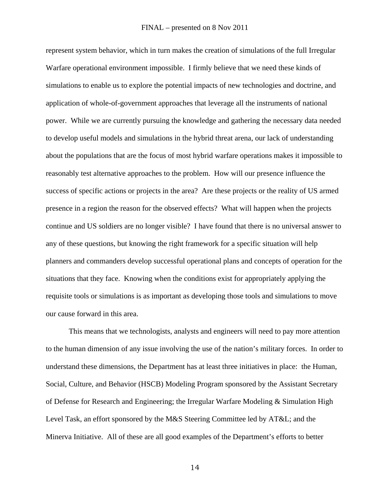represent system behavior, which in turn makes the creation of simulations of the full Irregular Warfare operational environment impossible. I firmly believe that we need these kinds of simulations to enable us to explore the potential impacts of new technologies and doctrine, and application of whole-of-government approaches that leverage all the instruments of national power. While we are currently pursuing the knowledge and gathering the necessary data needed to develop useful models and simulations in the hybrid threat arena, our lack of understanding about the populations that are the focus of most hybrid warfare operations makes it impossible to reasonably test alternative approaches to the problem. How will our presence influence the success of specific actions or projects in the area? Are these projects or the reality of US armed presence in a region the reason for the observed effects? What will happen when the projects continue and US soldiers are no longer visible? I have found that there is no universal answer to any of these questions, but knowing the right framework for a specific situation will help planners and commanders develop successful operational plans and concepts of operation for the situations that they face. Knowing when the conditions exist for appropriately applying the requisite tools or simulations is as important as developing those tools and simulations to move our cause forward in this area.

This means that we technologists, analysts and engineers will need to pay more attention to the human dimension of any issue involving the use of the nation's military forces. In order to understand these dimensions, the Department has at least three initiatives in place: the Human, Social, Culture, and Behavior (HSCB) Modeling Program sponsored by the Assistant Secretary of Defense for Research and Engineering; the Irregular Warfare Modeling & Simulation High Level Task, an effort sponsored by the M&S Steering Committee led by AT&L; and the Minerva Initiative. All of these are all good examples of the Department's efforts to better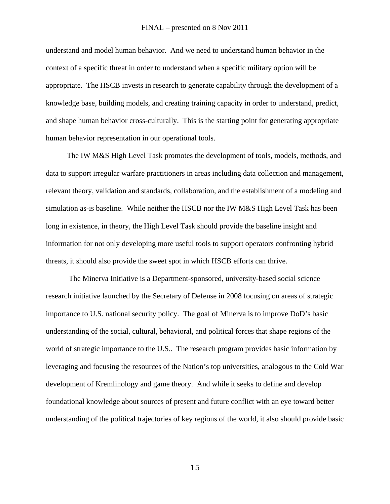## FINAL – presented on 8 Nov 2011

understand and model human behavior. And we need to understand human behavior in the context of a specific threat in order to understand when a specific military option will be appropriate. The HSCB invests in research to generate capability through the development of a knowledge base, building models, and creating training capacity in order to understand, predict, and shape human behavior cross-culturally. This is the starting point for generating appropriate human behavior representation in our operational tools.

 The IW M&S High Level Task promotes the development of tools, models, methods, and data to support irregular warfare practitioners in areas including data collection and management, relevant theory, validation and standards, collaboration, and the establishment of a modeling and simulation as-is baseline. While neither the HSCB nor the IW M&S High Level Task has been long in existence, in theory, the High Level Task should provide the baseline insight and information for not only developing more useful tools to support operators confronting hybrid threats, it should also provide the sweet spot in which HSCB efforts can thrive.

 The Minerva Initiative is a Department-sponsored, university-based social science research initiative launched by the Secretary of Defense in 2008 focusing on areas of strategic importance to U.S. national security policy. The goal of Minerva is to improve DoD's basic understanding of the social, cultural, behavioral, and political forces that shape regions of the world of strategic importance to the U.S.. The research program provides basic information by leveraging and focusing the resources of the Nation's top universities, analogous to the Cold War development of Kremlinology and game theory. And while it seeks to define and develop foundational knowledge about sources of present and future conflict with an eye toward better understanding of the political trajectories of key regions of the world, it also should provide basic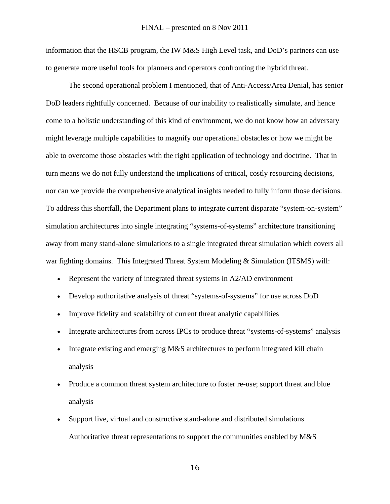information that the HSCB program, the IW M&S High Level task, and DoD's partners can use to generate more useful tools for planners and operators confronting the hybrid threat.

The second operational problem I mentioned, that of Anti-Access/Area Denial, has senior DoD leaders rightfully concerned. Because of our inability to realistically simulate, and hence come to a holistic understanding of this kind of environment, we do not know how an adversary might leverage multiple capabilities to magnify our operational obstacles or how we might be able to overcome those obstacles with the right application of technology and doctrine. That in turn means we do not fully understand the implications of critical, costly resourcing decisions, nor can we provide the comprehensive analytical insights needed to fully inform those decisions. To address this shortfall, the Department plans to integrate current disparate "system-on-system" simulation architectures into single integrating "systems-of-systems" architecture transitioning away from many stand-alone simulations to a single integrated threat simulation which covers all war fighting domains. This Integrated Threat System Modeling & Simulation (ITSMS) will:

- Represent the variety of integrated threat systems in A2/AD environment
- Develop authoritative analysis of threat "systems-of-systems" for use across DoD
- Improve fidelity and scalability of current threat analytic capabilities
- Integrate architectures from across IPCs to produce threat "systems-of-systems" analysis
- Integrate existing and emerging M&S architectures to perform integrated kill chain analysis
- Produce a common threat system architecture to foster re-use; support threat and blue analysis
- Support live, virtual and constructive stand-alone and distributed simulations Authoritative threat representations to support the communities enabled by M&S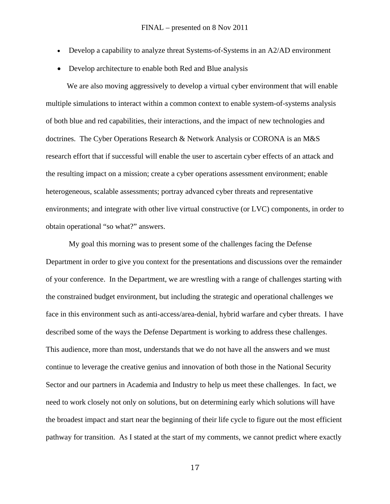- Develop a capability to analyze threat Systems-of-Systems in an A2/AD environment
- Develop architecture to enable both Red and Blue analysis

 We are also moving aggressively to develop a virtual cyber environment that will enable multiple simulations to interact within a common context to enable system-of-systems analysis of both blue and red capabilities, their interactions, and the impact of new technologies and doctrines. The Cyber Operations Research & Network Analysis or CORONA is an M&S research effort that if successful will enable the user to ascertain cyber effects of an attack and the resulting impact on a mission; create a cyber operations assessment environment; enable heterogeneous, scalable assessments; portray advanced cyber threats and representative environments; and integrate with other live virtual constructive (or LVC) components, in order to obtain operational "so what?" answers.

My goal this morning was to present some of the challenges facing the Defense Department in order to give you context for the presentations and discussions over the remainder of your conference. In the Department, we are wrestling with a range of challenges starting with the constrained budget environment, but including the strategic and operational challenges we face in this environment such as anti-access/area-denial, hybrid warfare and cyber threats. I have described some of the ways the Defense Department is working to address these challenges. This audience, more than most, understands that we do not have all the answers and we must continue to leverage the creative genius and innovation of both those in the National Security Sector and our partners in Academia and Industry to help us meet these challenges. In fact, we need to work closely not only on solutions, but on determining early which solutions will have the broadest impact and start near the beginning of their life cycle to figure out the most efficient pathway for transition. As I stated at the start of my comments, we cannot predict where exactly